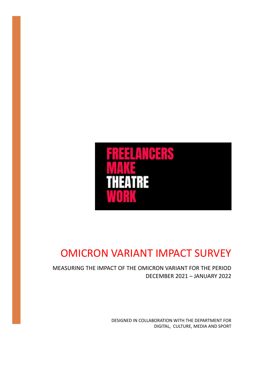

# OMICRON VARIANT IMPACT SURVEY

MEASURING THE IMPACT OF THE OMICRON VARIANT FOR THE PERIOD DECEMBER 2021 – JANUARY 2022

> DESIGNED IN COLLABORATION WITH THE DEPARTMENT FOR DIGITAL, CULTURE, MEDIA AND SPORT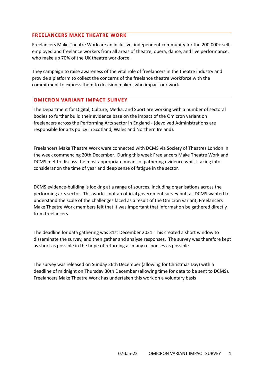# **FREELANCERS MAKE THEATRE WORK**

Freelancers Make Theatre Work are an inclusive, independent community for the 200,000+ selfemployed and freelance workers from all areas of theatre, opera, dance, and live performance, who make up 70% of the UK theatre workforce.

They campaign to raise awareness of the vital role of freelancers in the theatre industry and provide a platform to collect the concerns of the freelance theatre workforce with the commitment to express them to decision makers who impact our work.

# **OMICRON VARIANT IMPACT SURVEY**

The Department for Digital, Culture, Media, and Sport are working with a number of sectoral bodies to further build their evidence base on the impact of the Omicron variant on freelancers across the Performing Arts sector in England - (devolved Administrations are responsible for arts policy in Scotland, Wales and Northern Ireland).

Freelancers Make Theatre Work were connected with DCMS via Society of Theatres London in the week commencing 20th December. During this week Freelancers Make Theatre Work and DCMS met to discuss the most appropriate means of gathering evidence whilst taking into consideration the time of year and deep sense of fatigue in the sector.

DCMS evidence-building is looking at a range of sources, including organisations across the performing arts sector. This work is not an official government survey but, as DCMS wanted to understand the scale of the challenges faced as a result of the Omicron variant, Freelancers Make Theatre Work members felt that it was important that information be gathered directly from freelancers.

The deadline for data gathering was 31st December 2021. This created a short window to disseminate the survey, and then gather and analyse responses. The survey was therefore kept as short as possible in the hope of returning as many responses as possible.

The survey was released on Sunday 26th December (allowing for Christmas Day) with a deadline of midnight on Thursday 30th December (allowing time for data to be sent to DCMS). Freelancers Make Theatre Work has undertaken this work on a voluntary basis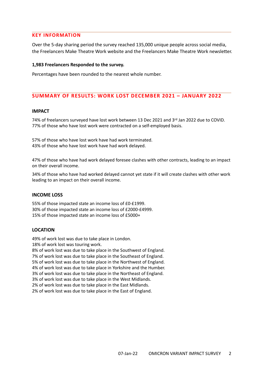# **KEY INFORMATION**

Over the 5-day sharing period the survey reached 135,000 unique people across social media, the Freelancers Make Theatre Work website and the Freelancers Make Theatre Work newsletter.

#### **1,983 Freelancers Responded to the survey.**

Percentages have been rounded to the nearest whole number.

# **SUMMARY OF RESULTS: WORK LOST DECEMBER 2021 – JANUARY 2022**

#### **IMPACT**

74% of freelancers surveyed have lost work between 13 Dec 2021 and 3rd Jan 2022 due to COVID. 77% of those who have lost work were contracted on a self-employed basis.

57% of those who have lost work have had work terminated. 43% of those who have lost work have had work delayed.

47% of those who have had work delayed foresee clashes with other contracts, leading to an impact on their overall income.

34% of those who have had worked delayed cannot yet state if it will create clashes with other work leading to an impact on their overall income.

#### **INCOME LOSS**

55% of those impacted state an income loss of £0-£1999. 30% of those impacted state an income loss of £2000-£4999. 15% of those impacted state an income loss of £5000+

## **LOCATION**

49% of work lost was due to take place in London.

18% of work lost was touring work.

8% of work lost was due to take place in the Southwest of England. 7% of work lost was due to take place in the Southeast of England. 5% of work lost was due to take place in the Northwest of England. 4% of work lost was due to take place in Yorkshire and the Humber. 3% of work lost was due to take place in the Northeast of England. 3% of work lost was due to take place in the West Midlands. 2% of work lost was due to take place in the East Midlands.

2% of work lost was due to take place in the East of England.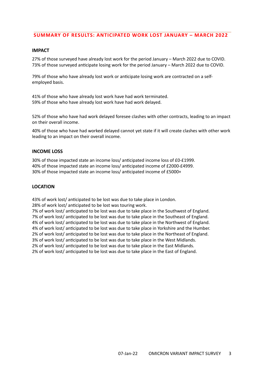# **SUMMARY OF RESULTS: ANTICIPATED WORK LOST JANUARY – MARCH 2022**

## **IMPACT**

27% of those surveyed have already lost work for the period January – March 2022 due to COVID. 73% of those surveyed anticipate losing work for the period January – March 2022 due to COVID.

79% of those who have already lost work or anticipate losing work are contracted on a selfemployed basis.

41% of those who have already lost work have had work terminated. 59% of those who have already lost work have had work delayed.

52% of those who have had work delayed foresee clashes with other contracts, leading to an impact on their overall income.

40% of those who have had worked delayed cannot yet state if it will create clashes with other work leading to an impact on their overall income.

#### **INCOME LOSS**

30% of those impacted state an income loss/ anticipated income loss of £0-£1999. 40% of those impacted state an income loss/ anticipated income of £2000-£4999. 30% of those impacted state an income loss/ anticipated income of £5000+

#### **LOCATION**

43% of work lost/ anticipated to be lost was due to take place in London.

28% of work lost/ anticipated to be lost was touring work.

7% of work lost/ anticipated to be lost was due to take place in the Southwest of England. 7% of work lost/ anticipated to be lost was due to take place in the Southeast of England. 4% of work lost/ anticipated to be lost was due to take place in the Northwest of England. 4% of work lost/ anticipated to be lost was due to take place in Yorkshire and the Humber. 2% of work lost/ anticipated to be lost was due to take place in the Northeast of England. 3% of work lost/ anticipated to be lost was due to take place in the West Midlands. 2% of work lost/ anticipated to be lost was due to take place in the East Midlands. 2% of work lost/ anticipated to be lost was due to take place in the East of England.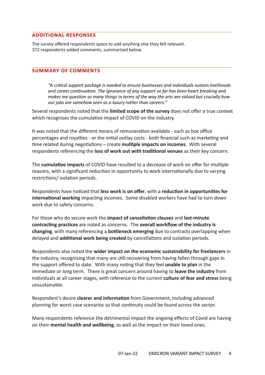# **ADDITIONAL RESPONSES**

The survey offered respondents space to add anything else they felt relevant. 372 respondents added comments, summarised below.

# **SUMMARY OF COMMENTS**

*''A critical support package is needed to ensure businesses and individuals sustain livelihoods and career continuation. The ignorance of any support so far has been heart breaking and makes me question so many things in terms of the way the arts are valued but crucially how our jobs are somehow seen as a luxury rather than careers.''*

Several respondents noted that the **limited scope of the survey** does not offer a true context which recognises the cumulative impact of COVID on the industry.

It was noted that the different means of remuneration available - such as box office percentages and royalties - or the initial outlay costs - both financial such as marketing and time related during negotiations – create **multiple impacts on incomes**. With several respondents referencing the **loss of work out with traditional venues** as their key concern.

The **cumulative impacts** of COVID have resulted to a decrease of work on offer for multiple reasons, with a significant reduction in opportunity to work internationally due to varying restrictions/ isolation periods.

Respondents have noticed that **less work is on offer**, with a **reduction in opportunities for international working** impacting incomes. Some disabled workers have had to turn down work due to safety concerns.

For those who do secure work the **impact of cancellation clauses** and **last-minute contracting practices** are noted as concerns. The **overall workflow of the industry is changing**, with many referencing a **bottleneck emerging** due to contracts overlapping when delayed and **additional work being created** by cancellations and isolation periods.

Respondents also noted the **wider impact on the economic sustainability for freelancers** in the industry, recognising that many are still recovering from having fallen through gaps in the support offered to date. With many noting that they feel **unable to plan** in the immediate or long term. There is great concern around having to **leave the industry** from individuals at all career stages, with reference to the current **culture of fear and stress** being unsustainable.

Respondent's desire **clearer and information** from Government, including advanced planning for worst case scenarios so that continuity could be found across the sector.

Many respondents reference the detrimental impact the ongoing effects of Covid are having on their **mental health and wellbeing**, as well as the impact on their loved ones.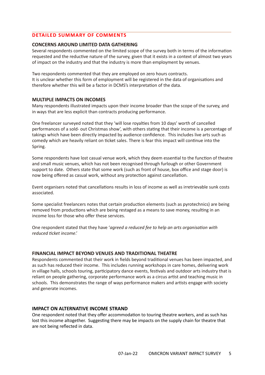# **DETAILED SUMMARY OF COMMENTS**

## **CONCERNS AROUND LIMITED DATA GATHERING**

Several respondents commented on the limited scope of the survey both in terms of the information requested and the reductive nature of the survey, given that it exists in a context of almost two years of impact on the industry and that the industry is more than employment by venues.

Two respondents commented that they are employed on zero hours contracts. It is unclear whether this form of employment will be registered in the data of organisations and therefore whether this will be a factor in DCMS's interpretation of the data.

## **MULTIPLE IMPACTS ON INCOMES**

Many respondents illustrated impacts upon their income broader than the scope of the survey, and in ways that are less explicit than contracts producing performance.

One freelancer surveyed noted that they 'will lose royalties from 10 days' worth of cancelled performances of a sold- out Christmas show', with others stating that their income is a percentage of takings which have been directly impacted by audience confidence. This includes live arts such as comedy which are heavily reliant on ticket sales. There is fear this impact will continue into the Spring.

Some respondents have lost casual venue work, which they deem essential to the function of theatre and small music venues, which has not been recognised through furlough or other Government support to date. Others state that some work (such as front of house, box office and stage door) is now being offered as casual work, without any protection against cancellation.

Event organisers noted that cancellations results in loss of income as well as irretrievable sunk costs associated.

Some specialist freelancers notes that certain production elements (such as pyrotechnics) are being removed from productions which are being restaged as a means to save money, resulting in an income loss for those who offer these services.

One respondent stated that they have '*agreed a reduced fee to help an arts organisation with reduced ticket income*.'

## **FINANCIAL IMPACT BEYOND VENUES AND TRADITIONAL THEATRE**

Respondents commented that their work in fields beyond traditional venues has been impacted, and as such has reduced their income. This includes running workshops in care homes, delivering work in village halls, schools touring, participatory dance events, festivals and outdoor arts industry that is reliant on people gathering, corporate performance work as a circus artist and teaching music in schools. This demonstrates the range of ways performance makers and artists engage with society and generate incomes.

## **IMPACT ON ALTERNATIVE INCOME STRAND**

One respondent noted that they offer accommodation to touring theatre workers, and as such has lost this income altogether. Suggesting there may be impacts on the supply chain for theatre that are not being reflected in data.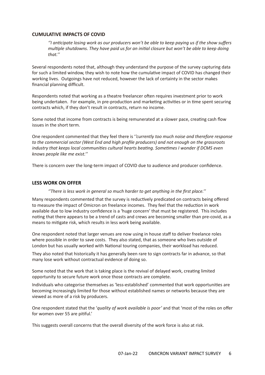## **CUMULATIVE IMPACTS OF COVID**

*''I anticipate losing work as our producers won't be able to keep paying us if the show suffers multiple shutdowns. They have paid us for an initial closure but won't be able to keep doing that.''*

Several respondents noted that, although they understand the purpose of the survey capturing data for such a limited window, they wish to note how the cumulative impact of COVID has changed their working lives. Outgoings have not reduced, however the lack of certainty in the sector makes financial planning difficult.

Respondents noted that working as a theatre freelancer often requires investment prior to work being undertaken. For example, in pre-production and marketing activities or in time spent securing contracts which, if they don't result in contracts, return no income.

Some noted that income from contracts is being remunerated at a slower pace, creating cash flow issues in the short term.

One respondent commented that they feel there is '*'currently too much noise and therefore response to the commercial sector (West End and high profile producers) and not enough on the grassroots industry that keeps local communities cultural hearts beating. Sometimes I wonder if DCMS even knows people like me exist.''*

There is concern over the long-term impact of COVID due to audience and producer confidence.

## **LESS WORK ON OFFER**

*''There is less work in general so much harder to get anything in the first place.''*

Many respondents commented that the survey is reductively predicated on contracts being offered to measure the impact of Omicron on freelance incomes. They feel that the reduction in work available due to low industry confidence is a 'huge concern' that must be registered. This includes noting that there appears to be a trend of casts and crews are becoming smaller than pre-covid, as a means to mitigate risk, which results in less work being available.

One respondent noted that larger venues are now using in house staff to deliver freelance roles where possible in order to save costs. They also stated, that as someone who lives outside of London but has usually worked with National touring companies, their workload has reduced.

They also noted that historically it has generally been rare to sign contracts far in advance, so that many lose work without contractual evidence of doing so.

Some noted that the work that is taking place is the revival of delayed work, creating limited opportunity to secure future work once those contracts are complete.

Individuals who categorise themselves as 'less-established' commented that work opportunities are becoming increasingly limited for those without established names or networks because they are viewed as more of a risk by producers.

One respondent stated that the '*quality of work available is poor'* and that 'most of the roles on offer for women over 55 are pitiful.'

This suggests overall concerns that the overall diversity of the work force is also at risk.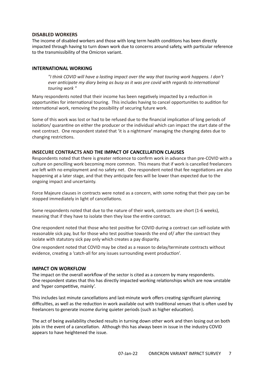## **DISABLED WORKERS**

The income of disabled workers and those with long term health conditions has been directly impacted through having to turn down work due to concerns around safety, with particular reference to the transmissibility of the Omicron variant.

#### **INTERNATIONAL WORKING**

*"I think COVID will have a lasting impact over the way that touring work happens. I don't ever anticipate my diary being as busy as it was pre covid with regards to international touring work "*

Many respondents noted that their income has been negatively impacted by a reduction in opportunities for international touring. This includes having to cancel opportunities to audition for international work, removing the possibility of securing future work.

Some of this work was lost or had to be refused due to the financial implication of long periods of isolation/ quarantine on either the producer or the individual which can impact the start date of the next contract. One respondent stated that 'it is a nightmare' managing the changing dates due to changing restrictions.

#### **INSECURE CONTRACTS AND THE IMPACT OF CANCELLATION CLAUSES**

Respondents noted that there is greater reticence to confirm work in advance than pre-COVID with a culture on pencilling work becoming more common. This means that if work is cancelled freelancers are left with no employment and no safety net. One respondent noted that fee negotiations are also happening at a later stage, and that they anticipate fees will be lower than expected due to the ongoing impact and uncertainty.

Force Majeure clauses in contracts were noted as a concern, with some noting that their pay can be stopped immediately in light of cancellations.

Some respondents noted that due to the nature of their work, contracts are short (1-6 weeks), meaning that if they have to isolate then they lose the entire contract.

One respondent noted that those who test positive for COVID during a contract can self-isolate with reasonable sick pay, but for those who test positive towards the end of/ after the contract they isolate with statutory sick pay only which creates a pay disparity.

One respondent noted that COVID may be cited as a reason to delay/terminate contracts without evidence, creating a 'catch-all for any issues surrounding event production'.

#### **IMPACT ON WORKFLOW**

The impact on the overall workflow of the sector is cited as a concern by many respondents. One respondent states that this has directly impacted working relationships which are now unstable and 'hyper competitive, mainly'.

This includes last minute cancellations and last-minute work offers creating significant planning difficulties, as well as the reduction in work available out with traditional venues that is often used by freelancers to generate income during quieter periods (such as higher education).

The act of being availability checked results in turning down other work and then losing out on both jobs in the event of a cancellation. Although this has always been in issue in the industry COVID appears to have heightened the issue.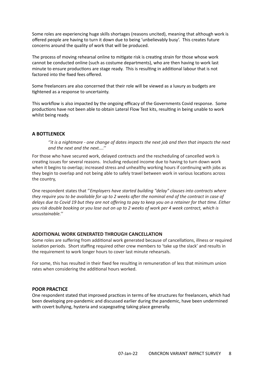Some roles are experiencing huge skills shortages (reasons uncited), meaning that although work is offered people are having to turn it down due to being 'unbelievably busy'. This creates future concerns around the quality of work that will be produced.

The process of moving rehearsal online to mitigate risk is creating strain for those whose work cannot be conducted online (such as costume departments), who are then having to work last minute to ensure productions are stage ready. This is resulting in additional labour that is not factored into the fixed fees offered.

Some freelancers are also concerned that their role will be viewed as a luxury as budgets are tightened as a response to uncertainty.

This workflow is also impacted by the ongoing efficacy of the Governments Covid response. Some productions have not been able to obtain Lateral Flow Test kits, resulting in being unable to work whilst being ready.

## **A BOTTLENECK**

*''it is a nightmare - one change of dates impacts the next job and then that impacts the next and the next and the next....''*

For those who have secured work, delayed contracts and the rescheduling of cancelled work is creating issues for several reasons. Including reduced income due to having to turn down work when it begins to overlap; increased stress and unhealthy working hours if continuing with jobs as they begin to overlap and not being able to safely travel between work in various locations across the country,

One respondent states that ''*Employers have started building "delay" clauses into contracts where they require you to be available for up to 2 weeks after the nominal end of the contract in case of delays due to Covid 19 but they are not offering to pay to keep you on a retainer for that time. Either you risk double booking or you lose out on up to 2 weeks of work per 4 week contract, which is unsustainable.''*

## **ADDITIONAL WORK GENERATED THROUGH CANCELLATION**

Some roles are suffering from additional work generated because of cancellations, illness or required isolation periods. Short staffing required other crew members to 'take up the slack' and results in the requirement to work longer hours to cover last minute rehearsals.

For some, this has resulted in their fixed fee resulting in remuneration of less that minimum union rates when considering the additional hours worked.

## **POOR PRACTICE**

One respondent stated that improved practices in terms of fee structures for freelancers, which had been developing pre-pandemic and discussed earlier during the pandemic, have been undermined with covert bullying, hysteria and scapegoating taking place generally.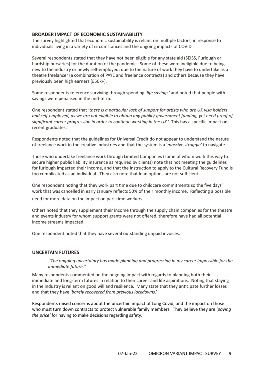## **BROADER IMPACT OF ECONOMIC SUSTAINABILITY**

The survey highlighted that economic sustainability is reliant on multiple factors, in response to individuals living in a variety of circumstances and the ongoing impacts of COVID.

Several respondents stated that they have not been eligible for any state aid (SEISS, Furlough or hardship bursaries) for the duration of the pandemic. Some of these were ineligible due to being new to the industry or newly self-employed; due to the nature of work they have to undertake as a theatre freelancer (a combination of PAYE and freelance contracts) and others because they have previously been high earners (£50k+).

Some respondents reference surviving through spending '*life savings'* and noted that people with savings were penalised in the mid-term.

One respondent stated that '*there is a particular lack of support for artists who are UK visa holders and self-employed, as we are not eligible to obtain any public/ government funding, yet need proof of significant career progression in order to continue working in the UK.'* This has a specific impact on recent graduates.

Respondents noted that the guidelines for Universal Credit do not appear to understand the nature of freelance work in the creative industries and that the system is a '*massive struggle'* to navigate.

Those who undertake freelance work through Limited Companies (some of whom work this way to secure higher public liability insurance as required by clients) note that not meeting the guidelines for furlough impacted their income, and that the instruction to apply to the Cultural Recovery Fund is too complicated as an individual. They also note that loan options are not sufficient.

One respondent noting that they work part time due to childcare commitments so the five days' work that was cancelled in early January reflects 50% of their monthly income. Reflecting a possible

need for more data on the impact on part-time workers.

Others noted that they supplement their income through the supply chain companies for the theatre and events industry for whom support grants were not offered, therefore have had all potential income streams impacted.

One respondent noted that they have several outstanding unpaid invoices.

## **UNCERTAIN FUTURES**

*''The ongoing uncertainty has made planning and progressing in my career impossible for the immediate future."*

Many respondents commented on the ongoing impact with regards to planning both their immediate and long-term futures in relation to their career and life aspirations. Noting that staying in the industry is reliant on good will and resilience. Many state that they anticipate further losses and that they have '*barely recovered from previous lockdowns*.'

Respondents raised concerns about the uncertain impact of Long Covid, and the impact on those who must turn down contracts to protect vulnerable family members. They believe they are '*paying the price'* for having to make decisions regarding safety.